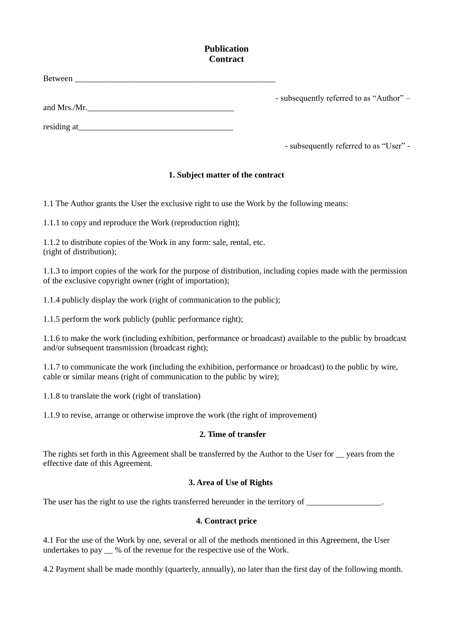# **Publication Contract**

| Between      |                                          |
|--------------|------------------------------------------|
|              | - subsequently referred to as "Author" – |
| and Mrs./Mr. |                                          |

residing at\_\_\_\_\_\_\_\_\_\_\_\_\_\_\_\_\_\_\_\_\_\_\_\_\_\_\_\_\_\_\_\_\_\_\_\_\_

- subsequently referred to as "User" -

### **1. Subject matter of the contract**

1.1 The Author grants the User the exclusive right to use the Work by the following means:

1.1.1 to copy and reproduce the Work (reproduction right);

1.1.2 to distribute copies of the Work in any form: sale, rental, etc. (right of distribution);

1.1.3 to import copies of the work for the purpose of distribution, including copies made with the permission of the exclusive copyright owner (right of importation);

1.1.4 publicly display the work (right of communication to the public);

1.1.5 perform the work publicly (public performance right);

1.1.6 to make the work (including exhibition, performance or broadcast) available to the public by broadcast and/or subsequent transmission (broadcast right);

1.1.7 to communicate the work (including the exhibition, performance or broadcast) to the public by wire, cable or similar means (right of communication to the public by wire);

1.1.8 to translate the work (right of translation)

1.1.9 to revise, arrange or otherwise improve the work (the right of improvement)

### **2. Time of transfer**

The rights set forth in this Agreement shall be transferred by the Author to the User for vears from the effective date of this Agreement.

### **3. Area of Use of Rights**

The user has the right to use the rights transferred hereunder in the territory of \_\_\_\_\_\_\_\_\_\_\_\_\_\_\_\_\_.

### **4. Contract price**

4.1 For the use of the Work by one, several or all of the methods mentioned in this Agreement, the User undertakes to pay  $\%$  of the revenue for the respective use of the Work.

4.2 Payment shall be made monthly (quarterly, annually), no later than the first day of the following month.